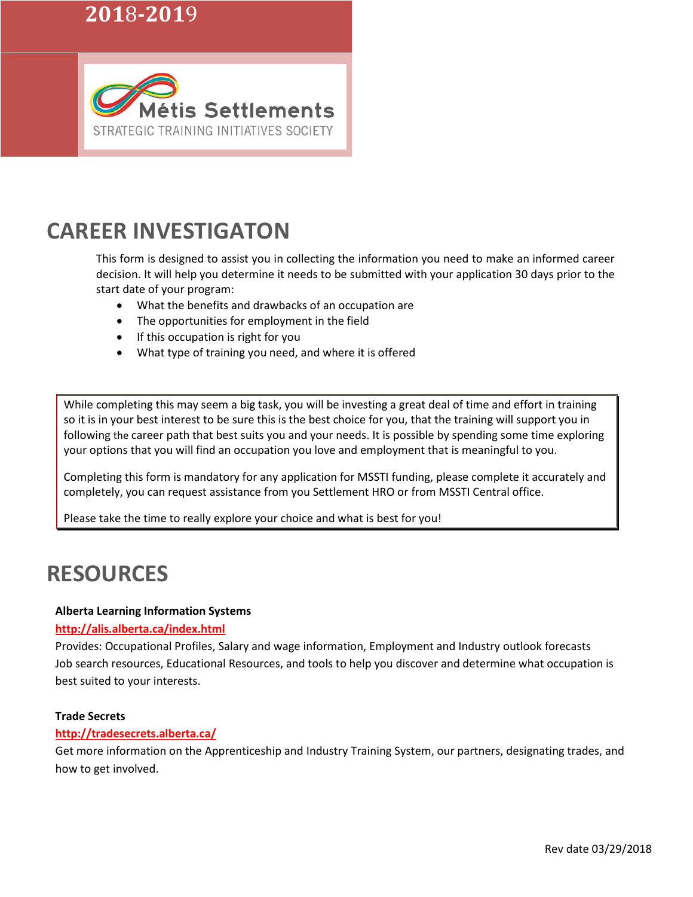# **201**8**-201**9



# **CAREER INVESTIGATON**

This form is designed to assist you in collecting the information you need to make an informed career decision. It will help you determine it needs to be submitted with your application 30 days prior to the start date of your program:

- What the benefits and drawbacks of an occupation are
- The opportunities for employment in the field
- If this occupation is right for you
- What type of training you need, and where it is offered

While completing this may seem a big task, you will be investing a great deal of time and effort in training so it is in your best interest to be sure this is the best choice for you, that the training will support you in following the career path that best suits you and your needs. It is possible by spending some time exploring your options that you will find an occupation you love and employment that is meaningful to you.

Completing this form is mandatory for any application for MSSTI funding, please complete it accurately and completely, you can request assistance from you Settlement HRO or from MSSTI Central office.

Please take the time to really explore your choice and what is best for you!

# **RESOURCES**

#### **Alberta Learning Information Systems**

#### **<http://alis.alberta.ca/index.html>**

Provides: Occupational Profiles, Salary and wage information, Employment and Industry outlook forecasts Job search resources, Educational Resources, and tools to help you discover and determine what occupation is best suited to your interests.

#### **Trade Secrets**

### **<http://tradesecrets.alberta.ca/>**

Get more information on the Apprenticeship and Industry Training System, our partners, designating trades, and how to get involved.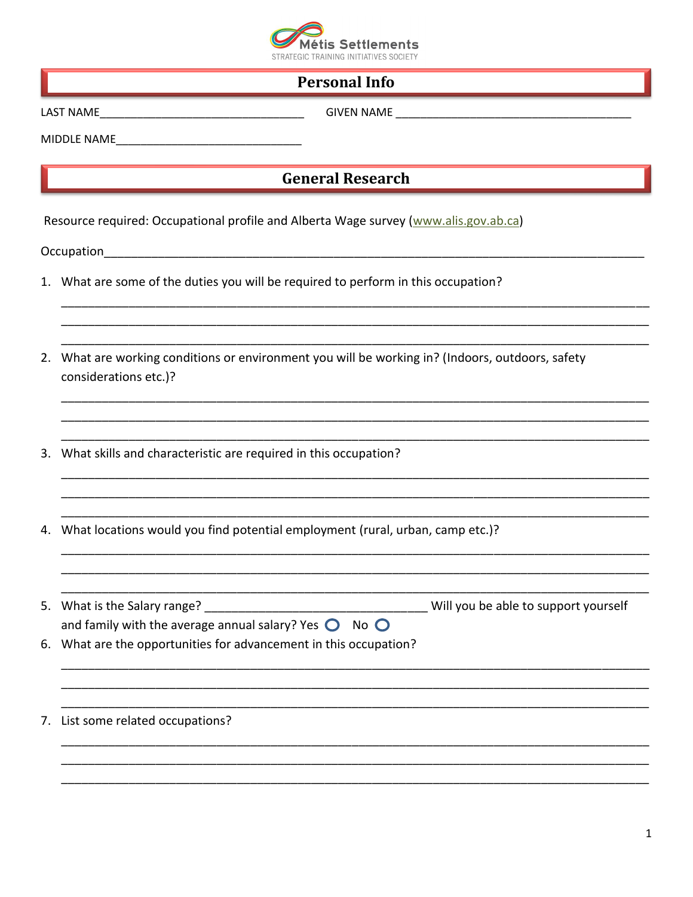

### **Personal Info**

GIVEN NAME And the state of the state of the state of the state of the state of the state of the state of the

MIDDLE NAME

### **General Research**

Resource required: Occupational profile and Alberta Wage survey (www.alis.gov.ab.ca)

- 1. What are some of the duties you will be required to perform in this occupation?
- 2. What are working conditions or environment you will be working in? (Indoors, outdoors, safety considerations etc.)?
- 3. What skills and characteristic are required in this occupation?
- 4. What locations would you find potential employment (rural, urban, camp etc.)?
- and family with the average annual salary? Yes  $\bigcirc$  No  $\bigcirc$ 6. What are the opportunities for advancement in this occupation?

7. List some related occupations?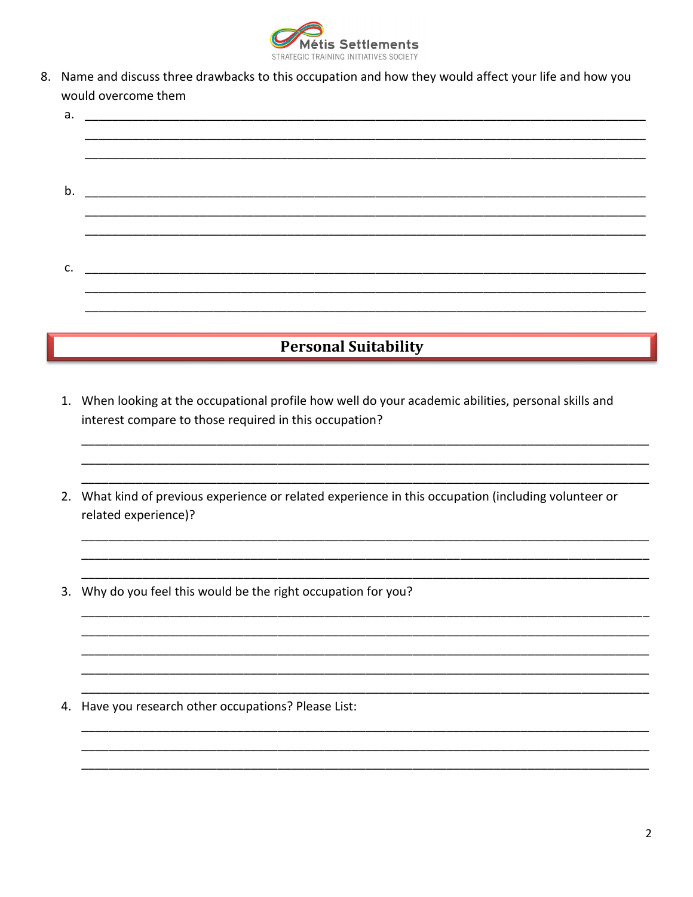

8. Name and discuss three drawbacks to this occupation and how they would affect your life and how you would overcome them

| <b>Personal Suitability</b> |  |  |  |  |  |
|-----------------------------|--|--|--|--|--|
|                             |  |  |  |  |  |
|                             |  |  |  |  |  |
| c.                          |  |  |  |  |  |
|                             |  |  |  |  |  |
|                             |  |  |  |  |  |
|                             |  |  |  |  |  |
| b.                          |  |  |  |  |  |
|                             |  |  |  |  |  |
|                             |  |  |  |  |  |
|                             |  |  |  |  |  |
| a.                          |  |  |  |  |  |

- 1. When looking at the occupational profile how well do your academic abilities, personal skills and interest compare to those required in this occupation?
- 2. What kind of previous experience or related experience in this occupation (including volunteer or related experience)?
- 3. Why do you feel this would be the right occupation for you?

4. Have you research other occupations? Please List: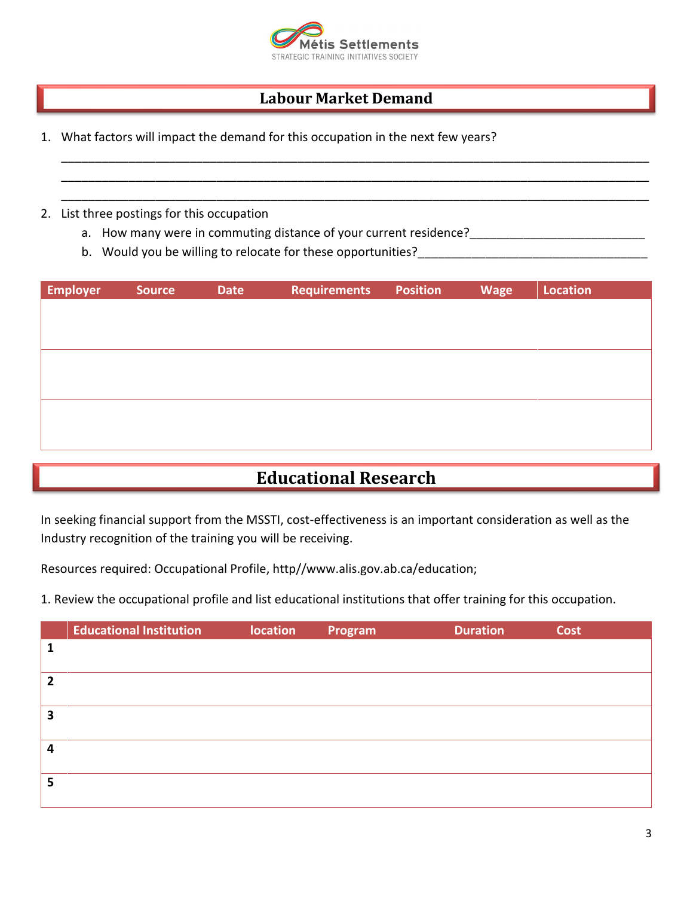

### **Labour Market Demand**

\_\_\_\_\_\_\_\_\_\_\_\_\_\_\_\_\_\_\_\_\_\_\_\_\_\_\_\_\_\_\_\_\_\_\_\_\_\_\_\_\_\_\_\_\_\_\_\_\_\_\_\_\_\_\_\_\_\_\_\_\_\_\_\_\_\_\_\_\_\_\_\_\_\_\_\_\_\_\_\_\_\_\_\_\_\_\_ \_\_\_\_\_\_\_\_\_\_\_\_\_\_\_\_\_\_\_\_\_\_\_\_\_\_\_\_\_\_\_\_\_\_\_\_\_\_\_\_\_\_\_\_\_\_\_\_\_\_\_\_\_\_\_\_\_\_\_\_\_\_\_\_\_\_\_\_\_\_\_\_\_\_\_\_\_\_\_\_\_\_\_\_\_\_\_ \_\_\_\_\_\_\_\_\_\_\_\_\_\_\_\_\_\_\_\_\_\_\_\_\_\_\_\_\_\_\_\_\_\_\_\_\_\_\_\_\_\_\_\_\_\_\_\_\_\_\_\_\_\_\_\_\_\_\_\_\_\_\_\_\_\_\_\_\_\_\_\_\_\_\_\_\_\_\_\_\_\_\_\_\_\_\_

- 1. What factors will impact the demand for this occupation in the next few years?
- 2. List three postings for this occupation
	- a. How many were in commuting distance of your current residence?
	- b. Would you be willing to relocate for these opportunities?\_\_\_\_\_\_\_\_\_\_\_\_\_\_\_\_\_\_\_\_\_\_\_\_\_\_\_\_\_\_\_\_\_\_

| <b>Employer</b> | <b>Source</b> | <b>Date</b> | <b>Requirements</b> | <b>Position</b> | <b>Wage</b> | <b>Location</b> |
|-----------------|---------------|-------------|---------------------|-----------------|-------------|-----------------|
|                 |               |             |                     |                 |             |                 |
|                 |               |             |                     |                 |             |                 |
|                 |               |             |                     |                 |             |                 |
|                 |               |             |                     |                 |             |                 |
|                 |               |             |                     |                 |             |                 |
|                 |               |             |                     |                 |             |                 |
|                 |               |             |                     |                 |             |                 |

## **Educational Research**

In seeking financial support from the MSSTI, cost-effectiveness is an important consideration as well as the Industry recognition of the training you will be receiving.

Resources required: Occupational Profile, http//www.alis.gov.ab.ca/education;

1. Review the occupational profile and list educational institutions that offer training for this occupation.

|   | <b>Educational Institution</b> | location | Program | <b>Duration</b> | Cost |
|---|--------------------------------|----------|---------|-----------------|------|
|   |                                |          |         |                 |      |
| 7 |                                |          |         |                 |      |
| 3 |                                |          |         |                 |      |
| Δ |                                |          |         |                 |      |
| 5 |                                |          |         |                 |      |